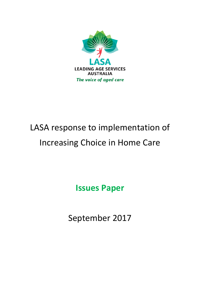

# LASA response to implementation of Increasing Choice in Home Care

**Issues Paper**

September 2017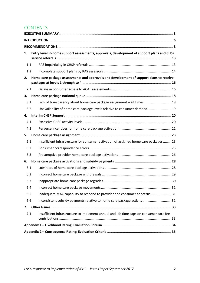# **CONTENTS**

| Entry level in-home support assessments, approvals, development of support plans and CHSP<br>1. |                                                                                         |  |  |  |
|-------------------------------------------------------------------------------------------------|-----------------------------------------------------------------------------------------|--|--|--|
|                                                                                                 |                                                                                         |  |  |  |
| 1.1                                                                                             |                                                                                         |  |  |  |
| 1.2                                                                                             |                                                                                         |  |  |  |
| Home care package assessments and approvals and development of support plans to receive<br>2.   |                                                                                         |  |  |  |
| 2.1                                                                                             |                                                                                         |  |  |  |
| З.                                                                                              |                                                                                         |  |  |  |
| 3.1                                                                                             | Lack of transparency about home care package assignment wait times 18                   |  |  |  |
| 3.2                                                                                             | Unavailability of home care package levels relative to consumer demand 19               |  |  |  |
| 4.                                                                                              |                                                                                         |  |  |  |
| 4.1                                                                                             |                                                                                         |  |  |  |
| 4.2                                                                                             |                                                                                         |  |  |  |
| 5.                                                                                              |                                                                                         |  |  |  |
| 5.1                                                                                             | Insufficient infrastructure for consumer activation of assigned home care packages 23   |  |  |  |
| 5.2                                                                                             |                                                                                         |  |  |  |
| 5.3                                                                                             |                                                                                         |  |  |  |
| 6.                                                                                              |                                                                                         |  |  |  |
| 6.1                                                                                             |                                                                                         |  |  |  |
| 6.2                                                                                             |                                                                                         |  |  |  |
| 6.3                                                                                             |                                                                                         |  |  |  |
| 6.4                                                                                             |                                                                                         |  |  |  |
| 6.5                                                                                             | Inadequate MAC capability to respond to provider and consumer concerns 31               |  |  |  |
| 6.6                                                                                             | Inconsistent subsidy payments relative to home care package activity31                  |  |  |  |
| 7.                                                                                              |                                                                                         |  |  |  |
| 7.1                                                                                             | Insufficient infrastructure to implement annual and life time caps on consumer care fee |  |  |  |
|                                                                                                 |                                                                                         |  |  |  |
|                                                                                                 |                                                                                         |  |  |  |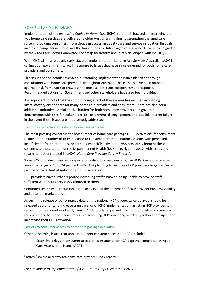# EXECUTIVE SUMMARY

Implementation of the *Increasing Choice in Home Care* (ICHC) reforms is focused on improving the way home care services are delivered to older Australians. It aims to strengthen the aged care system, providing consumers more choice in accessing quality care and service innovation through increased competition. It also lays the foundations for future aged care service delivery, to be guided by the Aged Care Sector Committee Roadmap for Reform and jointly developed with industry.

With ICHC still in a relatively early stage of implementation, Leading Age Services Australia (LASA) is calling upon government to act in response to issues that have since emerged for both home care providers and consumers.

This 'issues paper' details seventeen outstanding implementation issues identified through consultation with home care providers throughout Australia. These issues have been mapped against a risk framework to draw out the most salient issues for government response. Recommended actions for Government and other stakeholders have also been provided.

It is important to note that the compounding effect of these issues has resulted in ongoing unsatisfactory experiences for many home care providers and consumers. There has also been additional unfunded administrative burden for both home care providers and government departments with risks for stakeholder disillusionment, disengagement and possible market failure in the event these issues are not promptly addressed.

#### Low consumer activation rates of home care packages

The most pressing concern is the low number of home care package (HCP) activations for consumers relative to the number of HCPs released to consumers from the national queue, with perceived insufficient infrastructure to support consumer HCP activation. LASA previously brought these concerns to the attention of the Department of Health (DoH) in early June 2017, with issues and recommendations tabled in LASA's *Home Care Provider Survey Report<sup>1</sup>* .

Some HCP providers have since reported significant down turns in active HCPs. Current estimates are in the range of 15 to 34 per cent with LASA planning to re-survey HCP providers to gain a clearer picture of the extent of reductions in HCP activations.

HCP providers have further reported increasing staff turnover, being unable to provide staff sufficient work hours previously afforded to them.

Continued sector-wide reduction in HCP activity is at the detriment of HCP provider business viability and potential market failure.

As such, the release of performance data on the national HCP queue, twice delayed, should be released as a priority to increase transparency of ICHC implementation, assisting HCP provider to respond to the current market dynamics. Additionally, improved provisions and infrastructure are recommended to support consumers in researching HCP providers, to actively follow them up and to incentivise their HCP activation.

#### Barriers to consumer access to home care package activation

Other concerning issues that appear to hinder consumer access to HCPs include:

Extensive delays in consumer access to assessments for HCP approval completed by Aged Care Assessment Teams (ACAT),

**.** 

<sup>1</sup> https://lasa.asn.au/news/lasa-home-care-provider-survey-report/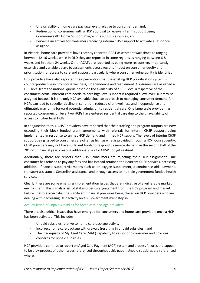- Unavailability of home care package levels relative to consumer demand,
- Redirection of consumers with a HCP approval to receive interim support using Commonwealth Home Support Programme (CHSP) resources, and
- Perverse incentives for consumers receiving interim CHSP support to activate a HCP once assigned.

In Victoria, home care providers have recently reported ACAT assessment wait times as ranging between 12-16 weeks, while in QLD they are reported in some regions as ranging between 6-8 weeks and in others 24 weeks. Other ACATs are reported as being more responsive. Importantly, extensive and variable delays to assessments across regions impact on consumer equity and prioritisation for access to care and support, particularly where consumer vulnerability is identified.

HCP providers have also reported their perception that the existing HCP prioritisation system is counterproductive in promoting wellness, independence and reablement. Consumers are assigned a HCP level from the national queue based on the availability of a HCP level irrespective of the consumers actual inherent care needs. Where high level support is required a low level HCP may be assigned because it is the only HCP available. Such an approach to managing consumer demand for HCPs can lead to speedier decline in condition, reduced client wellness and independence and ultimately may bring forward potential admission to residential care. One large scale provider has reported consumers on level two HCPs have entered residential care due to the unavailability of access to higher level HCPs.

In conjunction to this, CHSP providers have reported that their staffing and program outputs are now exceeding their block funded grant agreements with referrals for interim CHSP support being implemented in response to unmet HCP demand and limited HCP supply. The levels of interim CHSP support being issued to consumers are often as high as what is provided through a HCP. Consequently, CHSP providers may not have sufficient funds to respond to service demand in the second half of the 2017-18 financial year, creating additional risks for CHSP not yet realised.

Additionally, there are reports that CHSP consumers are rejecting their HCP assignment. One consumer has refused to pay any fees and has instead retained their current CHSP services, accessing additional financial support via means such as an oxygen supplement, a continence aids payment, transport assistance, Centrelink assistance, and through access to multiple government funded health services.

Clearly, there are some emerging implementation issues that are indicative of a vulnerable market environment. This signals a risk of stakeholder disengagement from the HCP program and market failure. It also exacerbates the significant financial pressures being placed on HCP providers who are dealing with decreasing HCP activity levels. Government must step in.

#### Accumulation of unpaid subsidies for home care package providers

There are also critical issues that have emerged for consumers and home care providers once a HCP has been activated. This includes:

- Unpaid subsidies relative to home care package activity,
- Incorrect home care package withdrawals (resulting in unpaid subsidies), and
- The inadequacy of My Aged Care (MAC) capability to respond to consumer and provider concerns for unpaid subsidies.

HCP providers continue to report on Aged Care Payment (ACP) system and process failures that appear to be a by-product of other issues referenced throughout this paper. Unpaid subsidies are referenced where: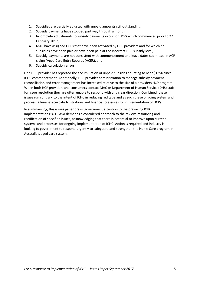- 1. Subsidies are partially adjusted with unpaid amounts still outstanding,
- 2. Subsidy payments have stopped part way through a month,
- 3. Incomplete adjustments to subsidy payments occur for HCPs which commenced prior to 27 February 2017,
- 4. MAC have assigned HCPs that have been activated by HCP providers and for which no subsidies have been paid or have been paid at the incorrect HCP subsidy level,
- 5. Subsidy payments are not consistent with commencement and leave dates submitted in ACP claims/Aged Care Entry Records (ACER), and
- 6. Subsidy calculation errors.

One HCP provider has reported the accumulation of unpaid subsides equating to near \$125K since ICHC commencement. Additionally, HCP provider administration to manage subsidy payment reconciliation and error management has increased relative to the size of a providers HCP program. When both HCP providers and consumers contact MAC or Department of Human Service (DHS) staff for issue resolution they are often unable to respond with any clear direction. Combined, these issues run contrary to the intent of ICHC in reducing red tape and as such these ongoing system and process failures exacerbate frustrations and financial pressures for implementation of HCPs.

In summarising, this issues paper draws government attention to the prevailing ICHC implementation risks. LASA demands a considered approach to the review, resourcing and rectification of specified issues, acknowledging that there is potential to improve upon current systems and processes for ongoing implementation of ICHC. Action is required and industry is looking to government to respond urgently to safeguard and strengthen the Home Care program in Australia's aged care system.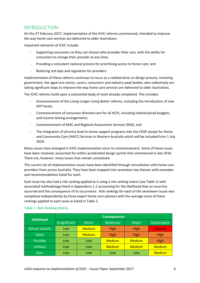## INTRODUCTION

On the 27 February 2017, implementation of the ICHC reforms commenced, intended to improve the way home care services are delivered to older Australians.

Important elements of ICHC include:

- Supporting consumers so they can choose who provides their care, with the ability for consumers to change their provider at any time;
- Providing a consistent national process for prioritising access to home care; and
- Reducing red tape and regulation for providers.

Implementation of these reforms continues to occur as a collaborative co-design process, involving government, the aged care sector, carers, consumers and industry peak bodies, who collectively are taking significant steps to improve the way home care services are delivered to older Australians.

The ICHC reforms build upon a substantial body of work already completed. This includes:

- Announcement of the *Living Longer Living Better* reforms, including the introduction of new HCP levels;
- Commencement of consumer directed care for all HCPs, including individualised budgets, and income testing arrangements;
- Commencement of MAC and Regional Assessment Services (RAS); and
- The integration of all entry level in-home support programs into the CHSP except for Home and Community Care (HACC) Services in Western Australia which will be included from 1 July 2018.

Many issues have emerged in ICHC implementation since its commencement. Some of these issues have been resolved, accounted for within accelerated design sprints that commenced in late 2016. There are, however, many issues that remain unresolved.

The current set of implementation issues have been identified through consultation with home care providers from across Australia. They have been mapped into seventeen key themes with examples and recommendations listed for each.

Each issue has also had a risk ranking applied to it using a risk ranking matrix (see Table 1) with associated methodology listed in Appendices 1-2 accounting for the likelihood that an issue has occurred and the consequence of its occurrence. Risk rankings for each of the seventeen issues was completed independently by three expert home care advisors with the average score of these rankings applied to each issue as listed in Table 2.

| <b>Likelihood</b>     | <b>Consequences</b> |               |               |               |                |
|-----------------------|---------------------|---------------|---------------|---------------|----------------|
|                       | Insignificant       | <b>Minor</b>  | Moderate      | Major         | Catastrophic   |
| <b>Almost Certain</b> | Low                 | <b>Medium</b> | <b>High</b>   | <b>High</b>   | <b>Extreme</b> |
| Likely                | Low                 | <b>Medium</b> | <b>High</b>   | <b>High</b>   | High           |
| Possible              | Low                 | Low           | <b>Medium</b> | <b>Medium</b> | High           |
| Unlikely              | Low                 | Low           | <b>Medium</b> | <b>Medium</b> | <b>Medium</b>  |
| Rare                  | Low                 | Low           | Low           | Low           | <b>Medium</b>  |

#### Table 1. Risk Ranking Matrix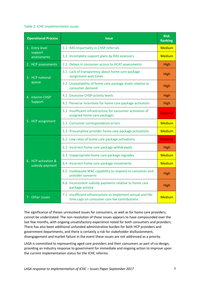#### Table 2. ICHC implementation issues

| <b>Operational Process</b>             | <b>Issue</b>                                                                                                  |                |  |
|----------------------------------------|---------------------------------------------------------------------------------------------------------------|----------------|--|
| 1. Entry level                         | 1.1 RAS impartiality in CHSP referrals                                                                        | <b>Medium</b>  |  |
| support<br>assessments                 | 1.2 Incomplete support plans by RAS assessors                                                                 | <b>Medium</b>  |  |
| 2. HCP assessments                     | 2.1 Delays in consumer access to ACAT assessments                                                             | <b>High</b>    |  |
| 3. HCP national                        | 3.1 Lack of transparency about home care package<br>assignment wait times                                     | <b>High</b>    |  |
| queue                                  | 3.2 Unavailability of home care package levels relative to<br>consumer demand                                 | <b>High</b>    |  |
| 4. Interim CHSP                        | 4.1 Excessive CHSP activity levels                                                                            | <b>High</b>    |  |
| Support                                | 4.2 Perverse incentives for home care package activation                                                      | <b>High</b>    |  |
|                                        | 5.1 Insufficient infrastructure for consumer activation of<br>assigned home care packages                     | <b>Extreme</b> |  |
| 5. HCP assignment                      | 5.2 Consumer correspondence errors                                                                            | <b>Medium</b>  |  |
|                                        | 5.3 Presumptive provider home care package activations                                                        | <b>Medium</b>  |  |
|                                        | 6.1 Low rates of home care package activations                                                                | <b>Extreme</b> |  |
|                                        | 6.2 Incorrect home care package withdrawals                                                                   | High           |  |
|                                        | 6.3 Inappropriate home care package regrades                                                                  | <b>Medium</b>  |  |
| 6. HCP activation &<br>subsidy payment | 6.4 Incorrect home care package movements                                                                     | <b>Medium</b>  |  |
|                                        | 6.5 Inadequate MAC capability to respond to consumer and<br>provider concerns                                 | <b>High</b>    |  |
|                                        | 6.6 Inconsistent subsidy payments relative to home care<br>package activity                                   | <b>High</b>    |  |
| 7. Other issues                        | 7.1 Insufficient infrastructure to implement annual and life-<br>time caps on consumer care fee contributions | <b>Medium</b>  |  |

The significance of theses unresolved issues for consumers, as well as for home care providers, cannot be understated. The non-resolution of these issues appears to have compounded over the last few months, with ongoing unsatisfactory experience noted for both consumers and providers. There has also been additional unfunded administrative burden for both HCP providers and government departments, and there is certainly a risk for stakeholder disillusionment, disengagement and market failure in the event these issues are not addressed as a priority.

LASA is committed to representing aged care providers and their consumers as part of co-design, providing an industry response to government for immediate and ongoing action to improve upon the current implementation status for the ICHC reforms.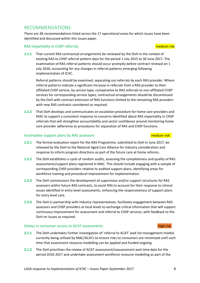# RECOMMENDATIONS

There are 38 recommendations listed across the 17 operational areas for which issues have been identified and discussed within this issues paper.

#### RAS impartiality in CHSP referrals medium risk and the state of the medium risk

**1.1.1** That current RAS contractual arrangements be reviewed by the DoH in the context of existing RAS to CHSP referral pattern data for the period 1 July 2015 to 30 June 2017. The examination of RAS referral patterns should occur promptly before contract renewal on 1 July 2018, accounting for any changes in referral patterns emerging following implementation of ICHC.

Referral patterns should be examined, separating out referrals by each RAS provider. Where referral patterns indicate a significant increase in referrals from a RAS provider to their affiliated CHSP service, by service type, comparative to RAS referrals to non-affiliated CHSP services for corresponding service types, contractual arrangements should be discontinued by the DoH with contract extension of RAS functions limited to the remaining RAS providers with new RAS contracts considered as required.

**1.1.2** That DoH develops and communicates an escalation procedure for home care providers and MAC to support a consistent response to concerns identified about RAS impartiality in CHSP referrals that will strengthen accountability and sector confidence around monitoring home care provider adherence to procedures for separation of RAS and CHSP functions.

#### Incomplete support plans by RAS assessors and a medium risk medium risk

- **1.2.1** The formal evaluation report for the RAS Programme, submitted to DoH in June 2017, be released by the DoH to the National Aged Care Alliance for industry consideration and response to inform program directions as part of the future care at home reforms.
- **1.2.2** The DoH establishes a cycle of random audits, assessing the completeness and quality of RAS assessments/support plans registered in MAC. This should include engaging with a sample of corresponding CHSP providers relative to audited support plans, identifying areas for workforce training and procedural improvement for implementation.
- **1.2.3** The DoH commissions the development of supervision and/or support structures for RAS assessors within future RAS contracts, to assist RAS to account for their response to clinical issues identified in entry level assessments, enhancing the responsiveness of support plans for entry level care.
- **1.2.4** The DoH in partnership with industry representatives, facilitates engagement between RAS assessors and CHSP providers at local levels to exchange critical information that will support continuous improvement for assessment and referral to CHSP services, with feedback to the DoH on issues as required.

#### Delays in consumer access to ACAT assessments high risk high risk

- **2.1.1** The DoH undertakes further investigation of 'referral to ACAT' wait list management models currently being utilised by MAC/ACATs to ensure risks to consumers are minimised until such time that assessment resource modelling can be applied and funded ongoing.
- **2.1.2** The DoH prioritises the review of ACAT assessment/reassessment wait time data for the period 2016-2017 and undertake assessment workforce resource modelling as part of the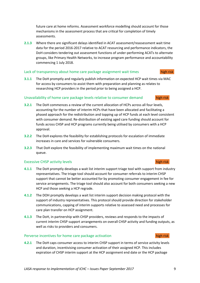future care at home reforms. Assessment workforce modelling should account for those mechanisms in the assessment process that are critical for completion of timely assessments.

**2.1.3** Where there are significant delays identified in ACAT assessment/reassessment wait time data for the period 2016-2017 relative to ACAT resourcing and performance indicators, the DoH considers tendering out assessment functions of under-performing ACATs to alternate groups, like Primary Health Networks, to increase program performance and accountability commencing 1 July 2018.

#### Lack of transparency about home care package assignment wait times

**3.1.1** The DoH promptly and regularly publish information on expected HCP wait times via MAC for access by consumers to assist them with preparation and planning as relates to researching HCP providers in the period prior to being assigned a HCP.

#### Unavailability of home care package levels relative to consumer demand high risk

- **3.2.1** The DoH commences a review of the current allocation of HCPs across all four levels, accounting for the number of interim HCPs that have been allocated and facilitating a phased approach for the redistribution and topping up of HCP funds at each level consistent with consumer demand. Re-distribution of existing aged care funding should account for funds across CHSP and HCP programs currently being utilised by consumers with a HCP approval.
- **3.2.2** The DoH explores the feasibility for establishing protocols for escalation of immediate increases in care and services for vulnerable consumers.
- **3.2.3** That DoH explore the feasibility of implementing maximum wait times on the national queue.

#### Excessive CHSP activity levels high risk high risk high risk

- **4.1.1** The DoH promptly develops a wait list interim support triage tool with support from industry representatives. The triage tool should account for consumer referrals to interim CHSP support that cannot be better accounted for by promoting consumer engagement in fee for service arrangements. The triage tool should also account for both consumers seeking a new HCP and those seeking a HCP regrade.
- **4.1.2** The DOH promptly develops a wait list interim support decision making protocol with the support of industry representatives. This protocol should provide direction for stakeholder communications, capping of interim supports relative to assessed need and processes for care plan transfer on HCP assignment.
- **4.1.3** The DoH, in partnership with CHSP providers, reviews and responds to the impacts of current interim CHSP support arrangements on overall CHSP activity and funding outputs, as well as risks to providers and consumers.

#### Perverse incentives for home care package activation high risk

**4.2.1** The DoH caps consumer access to interim CHSP support in terms of service activity levels and duration, incentivising consumer activation of their assigned HCP. This includes expiration of CHSP interim support at the HCP assignment end date or the HCP package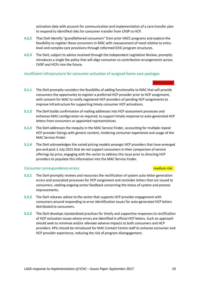activation date with account for communication and implementation of a care transfer plan to respond to identified risks for consumer transfer from CHSP to HCP.

- **4.2.2** That DoH identify "grandfathered consumers" from prior HACC programs and explore the feasibility to register these consumers in MAC with reassessment of need relative to entry level and complex care provisions through reformed ICHC program structures.
- **4.2.3** The DoH, subject to advice received through the independent Legislative Review, promptly introduces a single fee policy that will align consumer co-contribution arrangements across CHSP and HCPs into the future.

#### Insufficient infrastructure for consumer activation of assigned home care packages

#### extreme risk

- **5.1.1** The DoH promptly considers the feasibility of adding functionality to MAC that will provide consumers the opportunity to register a preferred HCP provider prior to HCP assignment, with consent for MAC to notify registered HCP providers of pending HCP assignments to improve infrastructure for supporting timely consumer HCP activations.
- **5.1.2** The DoH builds confirmation of mailing addresses into HCP assessment processes and enhances MAC configuration as required, to support timely response to auto-generated HCP letters from consumers or appointed representatives.
- **5.1.3** The DoH addresses the inequity in the MAC Service Finder, accounting for multiple repeat HCP provider listings with generic content, hindering consumer experience and usage of the MAC Service Finder.
- **5.1.4** The DoH acknowledges the varied pricing models amongst HCP providers that have emerged pre-and post-1 July 2015 that do not support consumers in their comparison of service offerings by price, engaging with the sector to address this issue prior to directing HCP providers to populate this information into the MAC Service Finder.

#### **Consumer correspondence errors** medium risk medium risk

- **5.2.1** The DoH promptly reviews and resources the rectification of system auto-letter generation errors and associated processes for HCP assignment and reminder letters that are issued to consumers, seeking ongoing sector feedback concerning the status of system and process improvements.
- **5.2.2** The DoH releases advice to the sector that supports HCP provider engagement with consumers around responding to error identification issues for auto-generated HCP letters distributed to consumers.
- **5.2.3** The DoH develops standardised practices for timely and supportive responses to rectification of HCP activation issues where errors are identified in official HCP letters. Such an approach should seek to minimise and/or alleviate adverse impacts to both consumers and HCP providers. KPIs should be introduced for MAC Contact Centre staff to enhance consumer and HCP provider experience, reducing the risk of program disengagement.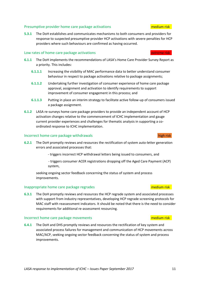#### Presumptive provider home care package activations medium risk medium risk

**5.3.1** The DoH establishes and communicates mechanisms to both consumers and providers for response to suspected presumptive provider HCP activations with severe penalties for HCP providers where such behaviours are confirmed as having occurred.

#### Low rates of home care package activations extreme risk

- **6.1.1** The DoH implements the recommendations of LASA's Home Care Provider Survey Report as a priority. This includes:
	- **6.1.1.1** Increasing the visibility of MAC performance data to better understand consumer behaviour in respect to package activations relative to package assignments;
	- **6.1.1.2** Undertaking further investigation of consumer experience of home care package approval, assignment and activation to identify requirements to support improvement of consumer engagement in this process; and
	- **6.1.1.3** Putting in place an interim strategy to facilitate active follow-up of consumers issued a package assignment.
- **6.1.2** LASA re-surveys home care package providers to provide an independent account of HCP activation changes relative to the commencement of ICHC implementation and gauge current provider experiences and challenges for thematic analysis in supporting a coordinated response to ICHC implementation.

#### Incorrect home care package withdrawals high risk high risk

- **6.2.1** The DoH promptly reviews and resources the rectification of system auto-letter generation errors and associated processes that:
	- triggers incorrect HCP withdrawal letters being issued to consumers, and
	- triggers consumer ACER registrations dropping off the Aged Care Payment (ACP) system,

seeking ongoing sector feedback concerning the status of system and process improvements.

#### Inappropriate home care package regrades medium risk medium risk

**6.3.1** The DoH promptly reviews and resources the HCP regrade system and associated processes with support from industry representatives, developing HCP regrade screening protocols for MAC staff with reassessment indicators. It should be noted that there is the need to consider requirements for additional re-assessment resourcing.

#### Incorrect home care package movements and medium risk medium risk

**6.4.1** The DoH and DHS promptly reviews and resources the rectification of key system and associated process failures for management and communication of HCP movements across MAC/ACP, seeking ongoing sector feedback concerning the status of system and process improvements.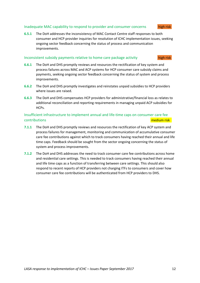#### Inadequate MAC capability to respond to provider and consumer concerns high risk

**6.5.1** The DoH addresses the inconsistency of MAC Contact Centre staff responses to both consumer and HCP provider inquiries for resolution of ICHC implementation issues, seeking ongoing sector feedback concerning the status of process and communication improvements.

#### Inconsistent subsidy payments relative to home care package activity high risk

- **6.6.1** The DoH and DHS promptly reviews and resources the rectification of key system and process failures across MAC and ACP systems for HCP consumer care subsidy claims and payments, seeking ongoing sector feedback concerning the status of system and process improvements.
- **6.6.2** The DoH and DHS promptly investigates and reinstates unpaid subsidies to HCP providers where issues are raised.
- **6.6.3** The DoH and DHS compensates HCP providers for administrative/financial loss as relates to additional reconciliation and reporting requirements in managing unpaid ACP subsidies for HCPs.

### Insufficient infrastructure to implement annual and life-time caps on consumer care fee contributions medium risk

- **7.1.1** The DoH and DHS promptly reviews and resources the rectification of key ACP system and process failures for management, monitoring and communication of accumulative consumer care fee contributions against which to track consumers having reached their annual and life time caps. Feedback should be sought from the sector ongoing concerning the status of system and process improvements.
- **7.1.2** The DoH and DHS addresses the need to track consumer care fee contributions across home and residential care settings. This is needed to track consumers having reached their annual and life time caps as a function of transferring between care settings. This should also respond to recent reports of HCP providers not charging ITFs to consumers and cover how consumer care fee contributions will be authenticated from HCP providers to DHS.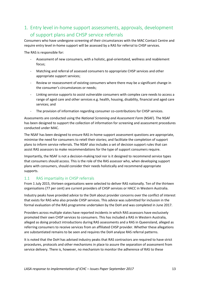# 1. Entry level in-home support assessments, approvals, development of support plans and CHSP service referrals

Consumers who have undergone screening of their circumstances with the MAC Contact Centre and require entry level in-home support will be assessed by a RAS for referral to CHSP services.

The RAS is responsible for:

- Assessment of new consumers, with a holistic, goal-orientated, wellness and reablement focus;
- Matching and referral of assessed consumers to appropriate CHSP services and other appropriate support services;
- Review or reassessment of existing consumers where there may be a significant change in the consumer's circumstances or needs;
- Linking service supports to assist vulnerable consumers with complex care needs to access a range of aged care and other services e.g. health, housing, disability, financial and aged care services; and
- The provision of information regarding consumer co-contributions for CHSP services.

Assessments are conducted using the *National Screening and Assessment Form* (NSAF). The NSAF has been designed to support the collection of information for screening and assessment procedures conducted under MAC.

The NSAF has been designed to ensure RAS in-home support assessment questions are appropriate, minimise the need for consumers to retell their stories; and facilitate the completion of support plans to inform service referrals. The NSAF also includes a set of decision support rules that can assist RAS assessors to make recommendations for the type of support consumers require.

Importantly, the NSAF is not a decision-making tool nor is it designed to recommend service types that consumers should access. This is the role of the RAS assessor who, when developing support plans with consumers, should consider their needs holistically and recommend appropriate supports.

#### 1.1 RAS impartiality in CHSP referrals

From 1 July 2015, thirteen organisations were selected to deliver RAS nationally. Ten of the thirteen organisations (77 per cent) are current providers of CHSP services or HACC in Western Australia.

Industry peaks have provided advice to the DoH about provider concerns over the conflict of interest that exists for RAS who also provide CHSP services. This advice was submitted for inclusion in the formal evaluation of the RAS programme undertaken by the DoH and was completed in June 2017.

Providers across multiple states have reported incidents in which RAS assessors have exclusively promoted their own CHSP services to consumers. This has included a RAS in Western Australia, alleged as doing product introductions during RAS assessments and a RAS in Queensland, alleged as referring consumers to receive services from an affiliated CHSP provider. Whether these allegations are substantiated remains to be seen and requires the DoH analyse RAS referral patterns.

It is noted that the DoH has advised industry peaks that RAS contractors are required to have strict procedures, protocols and other mechanisms in place to assure the separation of assessment from service delivery. There is, however, no mechanism to monitor the adherence of RAS to these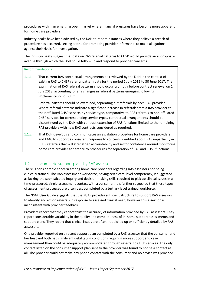procedures within an emerging open market where financial pressures have become more apparent for home care providers.

Industry peaks have been advised by the DoH to report instances where they believe a breach of procedure has occurred, setting a tone for promoting provider informants to make allegations against their rivals for investigation.

The industry peaks suggest that data on RAS referral patterns to CHSP would provide an appropriate avenue through which the DoH could follow-up and respond to provider concerns.

#### Recommendations

1.1.1 That current RAS contractual arrangements be reviewed by the DoH in the context of existing RAS to CHSP referral pattern data for the period 1 July 2015 to 30 June 2017. The examination of RAS referral patterns should occur promptly before contract renewal on 1 July 2018, accounting for any changes in referral patterns emerging following implementation of ICHC.

Referral patterns should be examined, separating out referrals by each RAS provider. Where referral patterns indicate a significant increase in referrals from a RAS provider to their affiliated CHSP service, by service type, comparative to RAS referrals to non-affiliated CHSP services for corresponding service types, contractual arrangements should be discontinued by the DoH with contract extension of RAS functions limited to the remaining RAS providers with new RAS contracts considered as required.

1.1.2 That DoH develops and communicates an escalation procedure for home care providers and MAC to support a consistent response to concerns identified about RAS impartiality in CHSP referrals that will strengthen accountability and sector confidence around monitoring home care provider adherence to procedures for separation of RAS and CHSP functions.

### 1.2 Incomplete support plans by RAS assessors

There is considerable concern among home care providers regarding RAS assessors not being clinically trained. The RAS assessment workforce, having certificate-level competency, is suggested as lacking the sophisticated inquiry and decision-making skills required to pick up clinical issues in a time-pressured, single assessment contact with a consumer. It is further suggested that these types of assessment processes are often best completed by a tertiary level trained workforce.

The NSAF User Guide suggests that the NSAF provides sufficient structure to support RAS assessors to identify and action referrals in response to assessed clinical need, however this assertion is inconsistent with provider feedback.

Providers report that they cannot trust the accuracy of information provided by RAS assessors. They report considerable variability in the quality and completeness of in-home support assessments and support plans. They report that clinical issues are often not picked up or sufficiently detailed by RAS assessors.

One provider reported on a recent support plan completed by a RAS assessor that the consumer and her husband both had significant debilitating conditions requiring more support and case management than could be adequately accommodated through referral to CHSP services. The only contact listed on the consumer support plan sent to the provider was found to not be a contact at all. The provider could not make any phone contact with the consumer and no advice was provided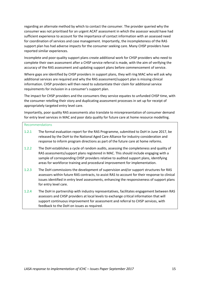regarding an alternate method by which to contact the consumer. The provider queried why the consumer was not prioritised for an urgent ACAT assessment in which the assessor would have had sufficient experience to account for the importance of contact information with an assessed need for coordination of services and case management. Importantly, the incompleteness of the RAS support plan has had adverse impacts for the consumer seeking care. Many CHSP providers have reported similar experiences.

Incomplete and poor-quality support plans create additional work for CHSP providers who need to complete their own assessment after a CHSP service referral is made, with the aim of verifying the accuracy of the RAS assessment and updating support plans before commencement of service.

Where gaps are identified by CHSP providers in support plans, they will ring MAC who will ask why additional services are required and why the RAS assessment/support plan is missing clinical information. CHSP providers will then need to substantiate their claim for additional service requirements for inclusion in a consumer's support plan.

The impact for CHSP providers and the consumers they service equates to unfunded CHSP time, with the consumer retelling their story and duplicating assessment processes in set up for receipt of appropriately targeted entry level care.

Importantly, poor quality RAS assessments also translate to misrepresentation of consumer demand for entry level services in MAC and poor data quality for future care at home resource modelling.

#### Recommendations

- 1.2.1 The formal evaluation report for the RAS Programme, submitted to DoH in June 2017, be released by the DoH to the National Aged Care Alliance for industry consideration and response to inform program directions as part of the future care at home reforms.
- 1.2.2 The DoH establishes a cycle of random audits, assessing the completeness and quality of RAS assessments/support plans registered in MAC. This should include engaging with a sample of corresponding CHSP providers relative to audited support plans, identifying areas for workforce training and procedural improvement for implementation.
- 1.2.3 The DoH commissions the development of supervision and/or support structures for RAS assessors within future RAS contracts, to assist RAS to account for their response to clinical issues identified in entry level assessments, enhancing the responsiveness of support plans for entry level care.
- 1.2.4 The DoH in partnership with industry representatives, facilitates engagement between RAS assessors and CHSP providers at local levels to exchange critical information that will support continuous improvement for assessment and referral to CHSP services, with feedback to the DoH on issues as required.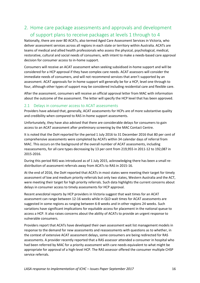# 2. Home care package assessments and approvals and development of support plans to receive packages at levels 1 through to 4

Nationally, there are over 80 ACATs, also termed Aged Care Assessment Services in Victoria, who deliver assessment services across all regions in each state or territory within Australia. ACATs are teams of medical and allied health professionals who assess the physical, psychological, medical, restorative, cultural and social needs of consumers, with intent to make a needs-based care approval decision for consumer access to in-home support.

Consumers will receive an ACAT assessment when seeking subsidised in-home support and will be considered for a HCP approval if they have complex care needs. ACAT assessors will consider the immediate needs of consumers, and will not recommend services that aren't supported by an assessment. ACAT approvals for in-home support will generally be for a HCP, level one through to four, although other types of support may be considered including residential care and flexible care.

After the assessment, consumers will receive an official approval letter from MAC with information about the outcome of the assessment. The letter will specify the HCP level that has been approved.

#### 2.1 Delays in consumer access to ACAT assessments

Providers have advised that, generally, ACAT assessments for HCPs are of more substantive quality and credibility when compared to RAS in-home support assessments.

Unfortunately, they have also advised that there are considerable delays for consumers to gain access to an ACAT assessment after preliminary screening by the MAC Contact Centre.

It is noted that the DoH reported for the period 1 July 2016 to 31 December 2016 that 80 per cent of comprehensive assessments were completed by ACATs within 34 calendar days of referral from MAC. This occurs on the background of the overall number of ACAT assessments, including reassessments, for all care types decreasing by 13 per cent from 219,955 in 2011-12 to 192,087 in 2015-2016.

During this period RAS was introduced as of 1 July 2015, acknowledging there has been a small redistribution of assessment referrals away from ACATs to RAS in 2015-16.

At the end of 2016, the DoH reported that ACATs in most states were meeting their target for timely assessment of low and medium priority referrals but only two states, Western Australia and the ACT, were meeting their target for high priority referrals. Such data highlights the current concerns about delays in consumer access to timely assessments for HCP approval.

Recent anecdotal reports by HCP providers in Victoria suggest that wait times for an ACAT assessment can range between 12-16 weeks while in QLD wait times for ACAT assessments are suggested in some regions as ranging between 6-8 weeks and in other regions 24 weeks. Such variations have significant implications for equitable access for placement in the national queue to access a HCP. It also raises concerns about the ability of ACATs to provide an urgent response to vulnerable consumers.

Providers report that ACATs have developed their own assessment wait list management models in response to the demand for new assessments and reassessments with questions as to whether, in the context of extensive ACAT assessment delays, some consumers are being redirected for RAS assessments. A provider recently reported that a RAS assessor attended a consumer in hospital who had been referred by MAC for a priority assessment with care needs equivalent to what might be appropriate for approval of a high-level HCP. The RAS assessor offered the consumer multiple CHSP service referrals.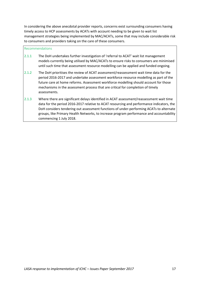In considering the above anecdotal provider reports, concerns exist surrounding consumers having timely access to HCP assessments by ACATs with account needing to be given to wait list management strategies being implemented by MAC/ACATs, some that may include considerable risk to consumers and providers taking on the care of these consumers.

#### Recommendations

- 2.1.1 The DoH undertakes further investigation of 'referral to ACAT' wait list management models currently being utilised by MAC/ACATs to ensure risks to consumers are minimised until such time that assessment resource modelling can be applied and funded ongoing.
- 2.1.2 The DoH prioritises the review of ACAT assessment/reassessment wait time data for the period 2016-2017 and undertake assessment workforce resource modelling as part of the future care at home reforms. Assessment workforce modelling should account for those mechanisms in the assessment process that are critical for completion of timely assessments.
- 2.1.3 Where there are significant delays identified in ACAT assessment/reassessment wait time data for the period 2016-2017 relative to ACAT resourcing and performance indicators, the DoH considers tendering out assessment functions of under-performing ACATs to alternate groups, like Primary Health Networks, to increase program performance and accountability commencing 1 July 2018.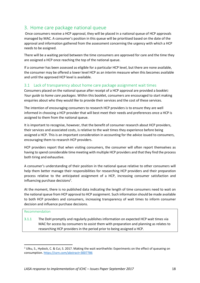# 3. Home care package national queue

Once consumers receive a HCP approval, they will be placed in a national queue of HCP approvals managed by MAC. A consumer's position in this queue will be prioritised based on the date of the approval and information gathered from the assessment concerning the urgency with which a HCP needs to be assigned.

There will be a waiting period between the time consumers are approved for care and the time they are assigned a HCP once reaching the top of the national queue.

If a consumer has been assessed as eligible for a particular HCP level, but there are none available, the consumer may be offered a lower level HCP as an interim measure when this becomes available and until the approved HCP level is available.

### 3.1 Lack of transparency about home care package assignment wait times

Consumers placed on the national queue after receipt of a HCP approval are provided a booklet*: Your guide to home care packages*. Within this booklet, consumers are encouraged to start making enquiries about who they would like to provide their services and the cost of these services.

The intention of encouraging consumers to research HCP providers is to ensure they are well informed in choosing a HCP provider that will best meet their needs and preferences once a HCP is assigned to them from the national queue.

It is important to recognise, however, that the benefit of consumer research about HCP providers, their services and associated costs, is relative to the wait times they experience before being assigned a HCP. This is an important consideration in accounting for the advice issued to consumers, encouraging them to research HCP providers.

HCP providers report that when visiting consumers, the consumer will often report themselves as having to spend considerable time meeting with multiple HCP providers and that they find the process both tiring and exhaustive.

A consumer's understanding of their position in the national queue relative to other consumers will help them better manage their responsibilities for researching HCP providers and their preparation process relative to the anticipated assignment of a HCP, increasing consumer satisfaction and influencing purchase decisions<sup>2</sup>.

At the moment, there is no published data indicating the length of time consumers need to wait on the national queue from HCP approval to HCP assignment. Such information should be made available to both HCP providers and consumers, increasing transparency of wait times to inform consumer decision and influence purchase decisions.

#### Recommendation

**.** 

3.1.1 The DoH promptly and regularly publishes information on expected HCP wait times via MAC for access by consumers to assist them with preparation and planning as relates to researching HCP providers in the period prior to being assigned a HCP.

<sup>&</sup>lt;sup>2</sup> Ulku, S., Hydock, C. & Cui, S. 2017. Making the wait worthwhile: Experiments on the effect of queueing on consumption. https://ssrn.com/abstract=3007786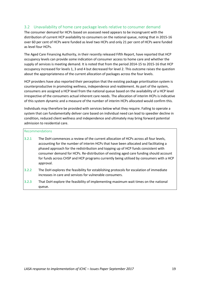### 3.2 Unavailability of home care package levels relative to consumer demand

The consumer demand for HCPs based on assessed need appears to be incongruent with the distribution of current HCP availability to consumers on the national queue, noting that in 2015-16 over 60 per cent of HCPs were funded as level two HCPs and only 21 per cent of HCPs were funded as level four HCPs.

The Aged Care Financing Authority, in their recently released Fifth Report, have reported that HCP occupancy levels can provide some indication of consumer access to home care and whether the supply of services is meeting demand. It is noted that from the period 2014-15 to 2015-16 that HCP occupancy increased for levels 1, 3 and 4 but decreased for level 2. This outcome raises the question about the appropriateness of the current allocation of packages across the four levels.

HCP providers have also reported their perception that the existing package prioritisation system is counterproductive in promoting wellness, independence and reablement. As part of the system, consumers are assigned a HCP level from the national queue based on the availability of a HCP level irrespective of the consumers actual inherent care needs. The allocation of interim HCPs is indicative of this system dynamic and a measure of the number of interim HCPs allocated would confirm this.

Individuals may therefore be provided with services below what they require. Failing to operate a system that can fundamentally deliver care based on individual need can lead to speedier decline in condition, reduced client wellness and independence and ultimately may bring forward potential admission to residential care.

#### Recommendations

- 3.2.1 The DoH commences a review of the current allocation of HCPs across all four levels, accounting for the number of interim HCPs that have been allocated and facilitating a phased approach for the redistribution and topping up of HCP funds consistent with consumer demand for HCPs. Re-distribution of existing aged care funding should account for funds across CHSP and HCP programs currently being utilised by consumers with a HCP approval.
- 3.2.2 The DoH explores the feasibility for establishing protocols for escalation of immediate increases in care and services for vulnerable consumers.
- 3.2.3 That DoH explore the feasibility of implementing maximum wait times on the national queue.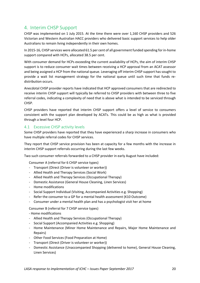# 4. Interim CHSP Support

CHSP was implemented on 1 July 2015. At the time there were over 1,160 CHSP providers and 526 Victorian and Western Australian HACC providers who delivered basic support services to help older Australians to remain living independently in their own homes.

In 2015-16, CHSP services were allocated 61.5 per cent of all government funded spending for in-home support compared with HCPs, allocated 38.5 per cent.

With consumer demand for HCPs exceeding the current availability of HCPs, the aim of interim CHSP support is to reduce consumer wait times between receiving a HCP approval from an ACAT assessor and being assigned a HCP from the national queue. Leveraging off interim CHSP support has sought to provide a wait list management strategy for the national queue until such time that funds redistribution occurs.

Anecdotal CHSP provider reports have indicated that HCP approved consumers that are redirected to receive interim CHSP support will typically be referred to CHSP providers with between three to five referral codes, indicating a complexity of need that is above what is intended to be serviced through CHSP.

CHSP providers have reported that interim CHSP support offers a level of service to consumers consistent with the support plan developed by ACATs. This could be as high as what is provided through a level four HCP.

#### 4.1 Excessive CHSP activity levels

Some CHSP providers have reported that they have experienced a sharp increase in consumers who have multiple referral codes for CHSP services.

They report that CHSP service provision has been at capacity for a few months with the increase in interim CHSP support referrals occurring during the last few weeks.

Two such consumer referrals forwarded to a CHSP provider in early August have included:

Consumer A (referral for 6 CHSP service types)

- Transport (Direct (Driver is volunteer or worker))
- Allied Health and Therapy Services (Social Work)
- Allied Health and Therapy Services (Occupational Therapy)
- Domestic Assistance (General House Cleaning, Linen Services)
- Home modifications
- Social Support Individual (Visiting, Accompanied Activities e.g. Shopping)
- Refer the consumer to a GP for a mental health assessment (K10 Outcome)
- Consumer under a mental health plan and has a psychologist visit her at home

Consumer B (referral for 7 CHSP service types)

- Home modifications

- Allied Health and Therapy Services (Occupational Therapy)
- Social Support (Accompanied Activities e.g. Shopping)
- Home Maintenance (Minor Home Maintenance and Repairs, Major Home Maintenance and Repairs)
- Other Food Services (Food Preparation at Home)
- Transport (Direct (Driver is volunteer or worker))
- Domestic Assistance (Unaccompanied Shopping (delivered to home), General House Cleaning, Linen Services)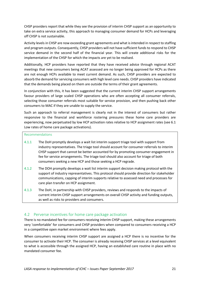CHSP providers report that while they see the provision of interim CHSP support as an opportunity to take on extra service activity, this approach to managing consumer demand for HCPs and leveraging off CHSP is not sustainable.

Activity levels in CHSP are now exceeding grant agreements and what is intended in respect to staffing and program outputs. Consequently, CHSP providers will not have sufficient funds to respond to CHSP service demand in the second half of the financial year. This will create additional risks for the implementation of the CHSP for which the impacts are yet to be realised.

Additionally, HCP providers have reported that they have received advice through regional ACAT meetings that new consumers being ACAT assessed are no longer being approved for HCPs as there are not enough HCPs available to meet current demand. As such, CHSP providers are expected to absorb the demand for servicing consumers with high level care needs. CHSP providers have indicated that the demands being placed on them are outside the terms of their grant agreements.

In conjunction with this, it has been suggested that the current interim CHSP support arrangements favour providers of large scaled CHSP operations who are often accepting all consumer referrals, selecting those consumer referrals most suitable for service provision, and then pushing back other consumers to MAC if they are unable to supply the service.

Such an approach to referral management is clearly not in the interest of consumers but rather responsive to the financial and workforce rostering pressures these home care providers are experiencing, now perpetuated by low HCP activation rates relative to HCP assignment rates (see 6.1 Low rates of home care package activations).

#### Recommendations

- 4.1.1 The DoH promptly develops a wait list interim support triage tool with support from industry representatives. The triage tool should account for consumer referrals to interim CHSP support that cannot be better accounted for by promoting consumer engagement in fee for service arrangements. The triage tool should also account for triage of both consumers seeking a new HCP and those seeking a HCP regrade.
- 4.1.2 The DOH promptly develops a wait list interim support decision making protocol with the support of industry representatives. This protocol should provide direction for stakeholder communications, capping of interim supports relative to assessed need and processes for care plan transfer on HCP assignment.
- 4.1.3 The DoH, in partnership with CHSP providers, reviews and responds to the impacts of current interim CHSP support arrangements on overall CHSP activity and funding outputs, as well as risks to providers and consumers.

#### 4.2 Perverse incentives for home care package activation

There is no mandated fee for consumers receiving interim CHSP support, making these arrangements very 'comfortable' for consumers and CHSP providers when compared to consumers receiving a HCP in a competitive open market environment where fees apply.

When consumers receiving interim CHSP support are assigned a HCP there is no incentive for the consumer to activate their HCP. The consumer is already receiving CHSP services at a level equivalent to what is accessible through the assigned HCP, having an established care routine in place with no mandated consumer fee.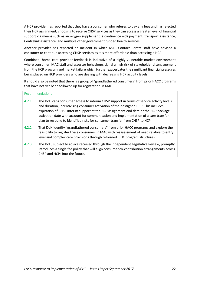A HCP provider has reported that they have a consumer who refuses to pay any fees and has rejected their HCP assignment, choosing to receive CHSP services as they can access a greater level of financial support via means such as an oxygen supplement, a continence aids payment, transport assistance, Centrelink assistance, and multiple other government funded health services.

Another provider has reported an incident in which MAC Contact Centre staff have advised a consumer to continue accessing CHSP services as it is more affordable than accessing a HCP.

Combined, home care provider feedback is indicative of a highly vulnerable market environment where consumer, MAC staff and assessor behaviours signal a high risk of stakeholder disengagement from the HCP program and market failure which further exacerbates the significant financial pressures being placed on HCP providers who are dealing with decreasing HCP activity levels.

It should also be noted that there is a group of "grandfathered consumers" from prior HACC programs that have not yet been followed up for registration in MAC.

#### Recommendations

- 4.2.1 The DoH caps consumer access to interim CHSP support in terms of service activity levels and duration, incentivising consumer activation of their assigned HCP. This includes expiration of CHSP interim support at the HCP assignment end date or the HCP package activation date with account for communication and implementation of a care transfer plan to respond to identified risks for consumer transfer from CHSP to HCP.
- 4.2.2 That DoH identify "grandfathered consumers" from prior HACC programs and explore the feasibility to register these consumers in MAC with reassessment of need relative to entry level and complex care provisions through reformed ICHC program structures.
- 4.2.3 The DoH, subject to advice received through the independent Legislative Review, promptly introduces a single fee policy that will align consumer co-contribution arrangements across CHSP and HCPs into the future.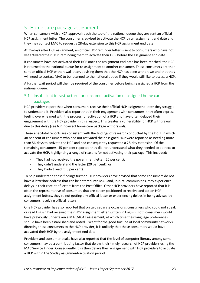# 5. Home care package assignment

When consumers with a HCP approval reach the top of the national queue they are sent an official HCP assignment letter. The consumer is advised to activate the HCP by an assignment end date and they may contact MAC to request a 28-day extension to this HCP assignment end date.

At 35-days after HCP assignment, an official HCP reminder letter is sent to consumers who have not yet activated their HCP, reminding them to activate their HCP before the assignment end date.

If consumers have not activated their HCP once the assignment end date has been reached, the HCP is returned to the national queue for re-assignment to another consumer. These consumers are then sent an official HCP withdrawal letter, advising them that the HCP has been withdrawn and that they will need to contact MAC to be returned to the national queue if they would still like to access a HCP.

A further wait period will then be required of the consumer before being reassigned a HCP from the national queue.

### 5.1 Insufficient infrastructure for consumer activation of assigned home care packages

HCP providers report that when consumers receive their official HCP assignment letter they struggle to understand it. Providers also report that in their engagement with consumers, they often express feeling overwhelmed with the process for activation of a HCP and have often delayed their engagement with the HCP provider in this respect. This creates a vulnerability for HCP withdrawal due to this delay (see 6.2 Incorrect home care package withdrawals).

These anecdotal reports are consistent with the findings of research conducted by the DoH, in which 48 per cent of consumers who had not activated their assigned HCP were reported as needing more than 56-days to activate the HCP and had consequently requested a 28-day extension. Of the remaining consumers, 45 per cent reported they did not understand what they needed to do next to activate the HCP, highlighting a range of reasons for not activating their package. This included:

- They had not received the government letter (20 per cent);
- They didn't understand the letter (20 per cent); or
- They hadn't read it (5 per cent).

To help understand these findings further, HCP providers have advised that some consumers do not have a letterbox address that can be entered into MAC and, in rural communities, may experience delays in their receipt of letters from the Post Office. Other HCP providers have reported that it is often the representative of consumers that are better positioned to receive and action HCP assignment letters, they're not getting any official letter or experiencing delays in being advised by consumers receiving official letters.

One HCP provider has also reported that on two separate occasions, consumers who could not speak or read English had received their HCP assignment letter written in English. Both consumers would have previously undertaken a MAC/ACAT assessment, at which time their language preferences should have been established and noted. Except for the good fortune of local community networks directing these consumers to the HCP provider, it is unlikely that these consumers would have activated their HCP by the assignment end date.

Providers and consumer peaks have also reported that the level of computer literacy among some consumers may be a contributing factor that delays their timely research of HCP providers using the MAC Service Finder. Consequently, this then delays their engagement with HCP providers to activate a HCP within the 56-day assignment-activation period.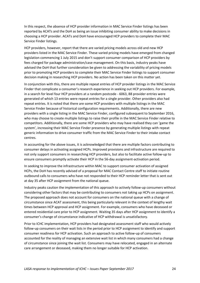In this respect, the absence of HCP provider information in MAC Service Finder listings has been reported by ACATs and the DoH as being an issue inhibiting consumer ability to make decisions in choosing a HCP provider. ACATs and DoH have encouraged HCP providers to complete their MAC Service Finder listings.

HCP providers, however, report that there are varied pricing models across old and new HCP providers listed in the MAC Service Finder. These varied pricing models have emerged from changed legislation commencing 1 July 2015 and don't support consumer comparison of HCP providers by fees charged for package administration/case management. On this basis, industry peaks have advised the DoH that further consideration be given to addressing the variability of pricing models prior to promoting HCP providers to complete their MAC Service Finder listings to support consumer decision making in researching HCP providers. No action has been taken on this matter yet.

In conjunction with this, there are multiple repeat entries of HCP provider listings in the MAC Service Finder that complicate a consumer's research experience in seeking out HCP providers. For example, in a search for level four HCP providers at a random postcode - 6063, 88 provider entries were generated of which 13 entries were repeat entries for a single provider. Other providers also had repeat entries. It is noted that there are some HCP providers with multiple listings in the MAC Service Finder because of historical configuration requirements. Additionally, there are new providers with a single listing in the MAC Service Finder, configured subsequent to September 2016, who may choose to create multiple listings to raise their profile in the MAC Service Finder relative to competitors. Additionally, there are some HCP providers who may have realised they can 'game the system', increasing their MAC Service Finder presence by generating multiple listings with repeat generic information to drive consumer traffic from the MAC Service Finder to their intake contact centres.

In accounting for the above issues, it is acknowledged that there are multiple factors contributing to consumer delays in activating assigned HCPs. Improved provisions and infrastructure are required to not only support consumers in researching HCP providers, but also to facilitate active follow-up to ensure consumers promptly activate their HCP in the 56-day assignment-activation period.

In seeking to improve the infrastructure within MAC to support consumer activation of assigned HCPs, the DoH has recently advised of a proposal for MAC Contact Centre staff to initiate routine outbound calls to consumers who have not responded to their HCP reminder letter that is sent out at day 35 after HCP assignment from the national queue.

Industry peaks caution the implementation of this approach to actively follow-up consumers without considering other factors that may be contributing to consumers not taking up HCPs on assignment. The proposed approach does not account for consumers on the national queue with a change of circumstance since ACAT assessment, this being particularly relevant in the context of lengthy wait times between HCP approval and HCP assignment. For example, consumers who have deceased or entered residential care prior to HCP assignment. Waiting 35 days after HCP assignment to identify a consumer's change of circumstance indicative of HCP withdrawal is unsatisfactory.

Prior to ICHC implementation, HCP providers had designated assessment staff who would actively follow-up consumers on their wait lists in the period prior to HCP assignment to identify and support consumer readiness for HCP activation. Such an approach to active follow-up of consumers accounted for the reality of managing an extensive wait list in which many consumers had a change of circumstance since joining the wait list. Consumers may have relocated, engaged in an alternate care arrangement or deceased, making them no longer suitable for HCP activation.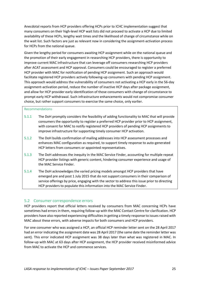Anecdotal reports from HCP providers offering HCPs prior to ICHC implementation suggest that many consumers on their high-level HCP wait lists did not proceed to activate a HCP due to limited availability of these HCPs, lengthy wait times and the likelihood of change of circumstance while on the wait list. Such factors are just as relevant now in considering the assignment-activation process for HCPs from the national queue.

Given the lengthy period for consumers awaiting HCP assignment while on the national queue and the promotion of their early engagement in researching HCP providers, there is opportunity to improve current MAC infrastructure that can leverage off consumers researching HCP providers after ACAT assessment and HCP approval. Consumers could be encouraged to register a preferred HCP provider with MAC for notification of pending HCP assignment. Such an approach would facilitate registered HCP providers actively following-up consumers with pending HCP assignment. This approach would address the vulnerability of consumers not activating a HCP early in the 56-day assignment-activation period, reduce the number of inactive HCP days after package assignment, and allow for HCP provider early identification of those consumers with change of circumstance to prompt early HCP withdrawal. Such infrastructure enhancements would not compromise consumer choice, but rather support consumers to exercise the same choice, only earlier.

#### Recommendations

- 5.1.1 The DoH promptly considers the feasibility of adding functionality to MAC that will provide consumers the opportunity to register a preferred HCP provider prior to HCP assignment, with consent for MAC to notify registered HCP providers of pending HCP assignments to improve infrastructure for supporting timely consumer HCP activation.
- 5.1.2 The DoH builds confirmation of mailing addresses into HCP assessment processes and enhances MAC configuration as required, to support timely response to auto-generated HCP letters from consumers or appointed representatives.
- 5.1.3 The DoH addresses the inequity in the MAC Service Finder, accounting for multiple repeat HCP provider listings with generic content, hindering consumer experience and usage of the MAC Service Finder.
- 5.1.4 The DoH acknowledges the varied pricing models amongst HCP providers that have emerged pre and post 1 July 2015 that do not support consumers in their comparison of service offerings by price, engaging with the sector to address this issue prior to directing HCP providers to populate this information into the MAC Service Finder.

#### 5.2 Consumer correspondence errors

HCP providers report that official letters received by consumers from MAC concerning HCPs have sometimes had errors in them, requiring follow-up with the MAC Contact Centre for clarification. HCP providers have also reported experiencing difficulties in getting a timely response to issues raised with MAC about these errors, with adverse impacts for both consumers and HCP providers.

For one consumer who was assigned a HCP, an official HCP reminder letter sent on the 28 April 2017 had an error indicating the assignment date was 28 April 2017 (the same date the reminder letter was sent). This error indicated HCP assignment was 38 days later than what was registered in MAC. In follow-up with MAC at 63 days after HCP assignment, the HCP provider received misinformed advice from MAC to activate the HCP and commence services.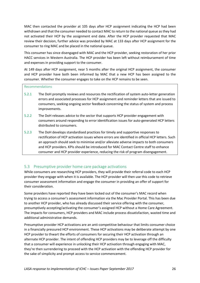MAC then contacted the provider at 105 days after HCP assignment indicating the HCP had been withdrawn and that the consumer needed to contact MAC to return to the national queue as they had not activated their HCP by the assignment end date. After the HCP provider requested that MAC review their decision, further advice was provided by MAC at 133 days after HCP assignment for the consumer to ring MAC and be placed in the national queue.

This consumer has since disengaged with MAC and the HCP provider, seeking restoration of her prior HACC services in Western Australia. The HCP provider has been left without reimbursement of time and expenses in providing support to the consumer.

At 149 days after HCP assignment, near 5 months after the original HCP assignment, the consumer and HCP provider have both been informed by MAC that a new HCP has been assigned to the consumer. Whether the consumer engages to take on the HCP remains to be seen.

#### Recommendations

- 5.2.1 The DoH promptly reviews and resources the rectification of system auto-letter generation errors and associated processes for HCP assignment and reminder letters that are issued to consumers, seeking ongoing sector feedback concerning the status of system and process improvements.
- 5.2.2 The DoH releases advice to the sector that supports HCP provider engagement with consumers around responding to error identification issues for auto-generated HCP letters distributed to consumers.
- 5.2.3 The DoH develops standardised practices for timely and supportive responses to rectification of HCP activation issues where errors are identified in official HCP letters. Such an approach should seek to minimise and/or alleviate adverse impacts to both consumers and HCP providers. KPIs should be introduced for MAC Contact Centre staff to enhance consumer and HCP provider experience, reducing the risk of program disengagement.

#### 5.3 Presumptive provider home care package activations

While consumers are researching HCP providers, they will provide their referral code to each HCP provider they engage with when it is available. The HCP provider will then use this code to retrieve consumer assessment information and engage the consumer in providing an offer of support for their consideration.

Some providers have reported they have been locked out of the consumer's MAC record when trying to access a consumer's assessment information via the Mac Provider Portal. This has been due to another HCP provider, who has already discussed their service offering with the consumer, presumptively accepting/activating the consumer's assigned HCP without a Home Care Agreement. The impacts for consumers, HCP providers and MAC include process dissatisfaction, wasted time and additional administrative demands.

Presumptive provider HCP activations are an anti-competitive behaviour that limits consumer choice in a financially pressured HCP environment. These HCP activations may be deliberate attempt by one HCP provider to thwart the efforts of consumers for securing their HCP activation through an alternate HCP provider. The intent of offending HCP providers may be to leverage off the difficulty that a consumer will experience in unlocking their HCP activation through engaging with MAC, they're then surrendering to proceed with the HCP activation with the offending HCP provider for the sake of simplicity and prompt access to service commencement.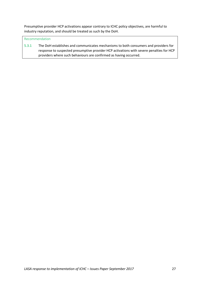Presumptive provider HCP activations appear contrary to ICHC policy objectives, are harmful to industry reputation, and should be treated as such by the DoH.

#### Recommendation

5.3.1 The DoH establishes and communicates mechanisms to both consumers and providers for response to suspected presumptive provider HCP activations with severe penalties for HCP providers where such behaviours are confirmed as having occurred.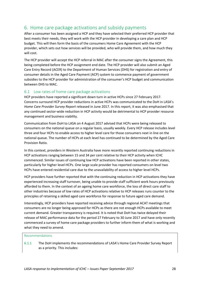# 6. Home care package activations and subsidy payments

After a consumer has been assigned a HCP and they have selected their preferred HCP provider that best meets their needs, they will work with the HCP provider in developing a care plan and HCP budget. This will then form the basis of the consumers Home Care Agreement with the HCP provider, which sets out how services will be provided, who will provide them, and how much they will cost.

The HCP provider will accept the HCP referral in MAC after the consumer signs the Agreement, this being completed before the HCP assignment end date. The HCP provider will also submit an Aged Care Entry Record (ACER) to the Department of Human Services (DHS) for registration and entry of consumer details in the Aged Care Payment (ACP) system to commence payment of government subsidies to the HCP provider for administration of the consumer's HCP budget and communication between DHS to MAC.

#### 6.1 Low rates of home care package activations

HCP providers have reported a significant down turn in active HCPs since 27 February 2017. Concerns surround HCP provider reductions in active HCPs was communicated to the DoH in LASA's *Home Care Provider Survey Report* released in June 2017. In this report, it was also emphasised that any continued sector-wide reduction in HCP activity would be detrimental to HCP provider resource management and business viability.

Communication from DoH to LASA on 4 August 2017 advised that HCPs were being released to consumers on the national queue on a regular basis, usually weekly. Every HCP release includes level three and four HCPs to enable access to higher level care for those consumers next in line on the national queue. The number of HCPs at each level has continued to be determined by the Aged Care Provision Ratio.

In this context, providers in Western Australia have more recently reported continuing reductions in HCP activations ranging between 15 and 34 per cent relative to their HCP activity when ICHC commenced. Similar issues of continuing low HCP activations have been reported in other states, particularly for higher level HCPs. One large scale provider has reported consumers on level two HCPs have entered residential care due to the unavailability of access to higher level HCPs.

HCP providers have further reported that with the continuing reduction in HCP activations they have experienced increasing staff turnover, being unable to provide staff sufficient work hours previously afforded to them. In the context of an ageing home care workforce, the loss of direct care staff to other industries because of low rates of HCP activations relative to HCP releases runs counter to the principles of retaining a skilled aged care workforce for response to future aged care demand.

Interestingly, HCP providers have reported receiving advice through regional ACAT meetings that consumers are no longer being approved for HCPs as there are not enough HCPs available to meet current demand. Greater transparency is required. It is noted that DoH has twice delayed their release of MAC performance data for the period 27 February to 30 June 2017 and have only recently commenced a survey of home care package providers to further inform them of what is working and what they need to amend.

#### Recommendations

6.1.1 The DoH implements the recommendations of LASA's Home Care Provider Survey Report as a priority. This includes: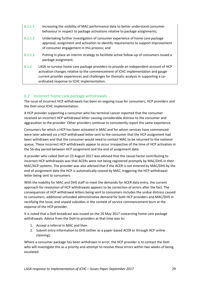- 6.1.1.1 Increasing the visibility of MAC performance data to better understand consumer behaviour in respect to package activations relative to package assignments;
- 6.1.1.2 Undertaking further investigation of consumer experience of home care package approval, assignment and activation to identify requirements to support improvement of consumer engagement in this process; and
- 6.1.1.3 Putting in place an interim strategy to facilitate active follow-up of consumers issued a package assignment.
- 6.1.2 LASA re-surveys home care package providers to provide an independent account of HCP activation changes relative to the commencement of ICHC implementation and gauge current provider experiences and challenges for thematic analysis in supporting a coordinated response to ICHC implementation.

### 6.2 Incorrect home care package withdrawals

The issue of incorrect HCP withdrawals has been an ongoing issue for consumers, HCP providers and the DoH since ICHC implementation.

A HCP provider supporting a consumer who has terminal cancer reported that the consumer received an incorrect HCP withdrawal letter causing considerable distress to the consumer and aggravation to the provider. Other providers continue to consistently report the same experience.

Consumers for which a HCP has been activated in MAC and for whom services have commenced were later advised via a HCP withdrawal letter sent to the consumer that the HCP assignment had been withdrawn and that the consumer would need to contact MAC to be returned to the national queue. These incorrect HCP withdrawals appear to occur irrespective of the time of HCP activation in the 56-day period between HCP assignment and the end of assignment date.

A provider who called DoH on 23 August 2017 was advised that the causal factor contributing to incorrect HCP withdrawals was that ACERs were not being registered promptly by MAC/DHS in their MAC/ACP systems. The provider was also advised that if the ACER is not entered by MAC/DHS by the end of assignment date the HCP is automatically ceased by MAC, triggering the HCP withdrawal letter being sent to consumers.

With the inability for MAC and DHS staff to meet the demands for ACER data entry, the current approach for resolution of HCP withdrawals appears to be correction of errors after the fact. The consequences of HCP withdrawal letters being sent to consumers includes the undue distress caused to consumers, additional unfunded administrative demand for both HCP providers and MAC/DHS in rectifying the issue, and unpaid subsidies in the context of service commencement born at the expense of the HCP provider.

It is noted that a DoH broadcast was issued on the 26 May 2017 concerning home care package withdrawals. Advice from the DoH to providers at that time was to:

- 1. Accept a referral in MAC and then
- 2. Submit entry information to DHS (either as a paper based ACER or through ACP online claiming).

Where a consumer package has been withdrawn in error, the HCP provider is to contact the DoH who will investigate this as a priority and attempt to resolve these errors within two weeks of being escalated.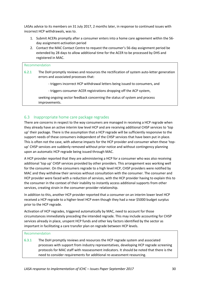LASAs advice to its members on 31 July 2017, 2 months later, in response to continued issues with incorrect HCP withdrawals, was to.

- 1. Submit ACERs promptly after a consumer enters into a home care agreement within the 56 day assignment-activation period
- 2. Contact the MAC Contact Centre to request the consumer's 56-day assignment period be extended by 28 days to allow additional time for the ACER to be processed by DHS and registered in MAC.

| Recommendation |                                                                                                                                    |  |  |
|----------------|------------------------------------------------------------------------------------------------------------------------------------|--|--|
| 6.2.1          | The DoH promptly reviews and resources the rectification of system auto-letter generation<br>errors and associated processes that: |  |  |
|                | - triggers incorrect HCP withdrawal letters being issued to consumers, and                                                         |  |  |
|                | - triggers consumer ACER registrations dropping off the ACP system,                                                                |  |  |
|                | seeking ongoing sector feedback concerning the status of system and process<br>improvements.                                       |  |  |

### 6.3 Inappropriate home care package regrades

There are concerns in respect to the way consumers are managed in receiving a HCP regrade when they already have an active interim low level HCP and are receiving additional CHSP services to 'top up' their package. There is the assumption that a HCP regrade will be sufficiently responsive to the support needs of these consumers independent of the CHSP services that have been put in place. This is often not the case, with adverse impacts for the HCP provider and consumer when these 'topup' CHSP services are suddenly removed without prior notice and without contingency planning upon an automatic HCP regrade being issued through MAC.

A HCP provider reported that they are administering a HCP for a consumer who was also receiving additional 'top up' CHSP services provided by other providers. This arrangement was working well for the consumer. On the consumers regrade to a high level HCP, CHSP providers were notified by MAC and they withdrew their services without consultation with the consumer. The consumer and HCP provider were faced with a reduction of services, with the HCP provider having to explain this to the consumer in the context of their inability to instantly access additional supports from other services, creating strain in the consumer-provider relationship.

In addition to this, another HCP provider reported that a consumer on an interim lower level HCP received a HCP regrade to a higher-level HCP even though they had a near \$5000 budget surplus prior to the HCP regrade.

Activation of HCP regrades, triggered automatically by MAC, need to account for those circumstances immediately preceding the intended regrade. This may include accounting for CHSP services already in place, unspent HCP funds and other key factors identified by the sector as important in facilitating a care transfer plan on regrade between HCP levels.

#### Recommendation

6.3.1 The DoH promptly reviews and resources the HCP regrade system and associated processes with support from industry representatives, developing HCP regrade screening protocols for MAC staff with reassessment indicators. It should be noted that there is the need to consider requirements for additional re-assessment resourcing.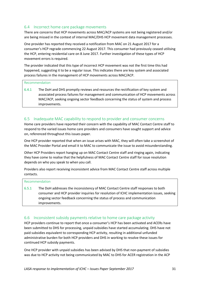#### 6.4 Incorrect home care package movements

There are concerns that HCP movements across MAC/ACP systems are not being registered and/or are being missed in the context of internal MAC/DHS HCP movement data management processes.

One provider has reported they received a notification from MAC on 21 August 2017 for a consumer's HCP regrade commencing 22 August 2017. This consumer had previously ceased utilising the HCP, entering residential care on 8 June 2017. Further investigation of these types of HCP movement errors is required.

The provider indicated that this type of incorrect HCP movement was not the first time this had happened, suggesting it to be a regular issue. This indicates there are key system and associated process failures in the management of HCP movements across MAC/ACP.

#### Recommendation

6.4.1 The DoH and DHS promptly reviews and resources the rectification of key system and associated process failures for management and communication of HCP movements across MAC/ACP, seeking ongoing sector feedback concerning the status of system and process improvements.

#### 6.5 Inadequate MAC capability to respond to provider and consumer concerns

Home care providers have reported their concern with the capability of MAC Contact Centre staff to respond to the varied issues home care providers and consumers have sought support and advice on, referenced throughout this issues paper.

One HCP provider reported that when an issue arises with MAC, they will often take a screenshot of the MAC Provider Portal and email it to MAC to communicate the issue to avoid misunderstanding.

Other HCP Providers report hanging up on MAC Contact Centre staff and ringing again, indicating they have come to realise that the helpfulness of MAC Contact Centre staff for issue resolution depends on who you speak to when you call.

Providers also report receiving inconsistent advice from MAC Contact Centre staff across multiple contacts.

#### Recommendation

6.5.1 The DoH addresses the inconsistency of MAC Contact Centre staff responses to both consumer and HCP provider inquiries for resolution of ICHC implementation issues, seeking ongoing sector feedback concerning the status of process and communication improvements.

#### 6.6 Inconsistent subsidy payments relative to home care package activity

HCP providers continue to report that once a consumer's HCP has been activated and ACERs have been submitted to DHS for processing, unpaid subsidies have started accumulating. DHS have not paid subsidies equivalent to corresponding HCP activity, resulting in additional unfunded administrative burden for both HCP providers and DHS in working to resolve these issues for continued HCP subsidy payments.

One HCP provider with unpaid subsidies has been advised by DHS that non-payment of subsidies was due to HCP activity not being communicated by MAC to DHS for ACER registration in the ACP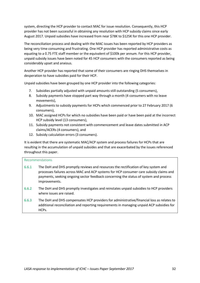system, directing the HCP provider to contact MAC for issue resolution. Consequently, this HCP provider has not been successful in obtaining any resolution with HCP subsidy claims since early August 2017. Unpaid subsidies have increased from near \$78K to \$125K for this one HCP provider.

The reconciliation process and dealing with the MAC issues has been reported by HCP providers as being very time consuming and frustrating. One HCP provider has reported administrative costs as equating to a 0.75 FTE staff member or the equivalent of \$100k per annum. For this HCP provider, unpaid subsidy issues have been noted for 45 HCP consumers with the consumers reported as being considerably upset and anxious.

Another HCP provider has reported that some of their consumers are ringing DHS themselves in desperation to have subsidies paid for their HCP.

Unpaid subsidies have been grouped by one HCP provider into the following categories:

- 7. Subsidies partially adjusted with unpaid amounts still outstanding (5 consumers),
- 8. Subsidy payments have stopped part way through a month (4 consumers with no leave movements),
- 9. Adjustments to subsidy payments for HCPs which commenced prior to 27 February 2017 (6 consumers),
- 10. MAC assigned HCPs for which no subsidies have been paid or have been paid at the incorrect HCP subsidy level (13 consumers),
- 11. Subsidy payments not consistent with commencement and leave dates submitted in ACP claims/ACERs (4 consumers), and
- 12. Subsidy calculation errors (3 consumers).

It is evident that there are systematic MAC/ACP system and process failures for HCPs that are resulting in the accumulation of unpaid subsides and that are exacerbated by the issues referenced throughout this paper.

#### Recommendations

- 6.6.1 The DoH and DHS promptly reviews and resources the rectification of key system and processes failures across MAC and ACP systems for HCP consumer care subsidy claims and payments, seeking ongoing sector feedback concerning the status of system and process improvements.
- 6.6.2 The DoH and DHS promptly investigates and reinstates unpaid subsidies to HCP providers where issues are raised.
- 6.6.3 The DoH and DHS compensates HCP providers for administrative/financial loss as relates to additional reconciliation and reporting requirements in managing unpaid ACP subsidies for HCPs.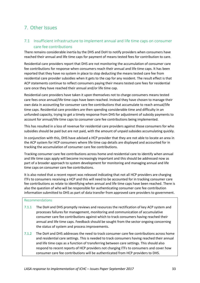# 7. Other Issues

### 7.1 Insufficient infrastructure to implement annual and life time caps on consumer care fee contributions

There remains considerable inertia by the DHS and DoH to notify providers when consumers have reached their annual and life time caps for payment of means tested fees for contribution to care.

Residential care providers report that DHS are not monitoring the accumulation of consumer care fee contributions for response when consumers reach their annual and life time caps. It has been reported that they have no system in place to stop deducting the means tested care fee from residential care provider subsidies when it gets to the cap for any resident. The result effect is that ACP statements continue to reflect consumers paying their means tested care fees for residential care once they have reached their annual and/or life time cap.

Residential care providers have taken it upon themselves not to charge consumers means tested care fees once annual/life time caps have been reached. Instead they have chosen to manage their own data in accounting for consumer care fee contributions that accumulate to reach annual/life time caps. Residential care providers are then spending considerable time and difficulty in an unfunded capacity, trying to get a timely response from DHS for adjustment of subsidy payments to account for annual/life time caps to consumer care fee contributions being implemented.

This has resulted in a loss of revenue for residential care providers against those consumers for who subsidies should be paid but are not paid, with the amount of unpaid subsides accumulating quickly.

In conjunction with this, DHS have advised a HCP provider that they are not able to locate an area in the ACP system for HCP consumers where life time cap details are displayed and accounted for in tracking the accumulation of consumer care fee contributions.

Tracking consumer care fee contributions across home and residential care to identify when annual and life time caps apply will become increasingly important and this should be addressed now as part of a broader approach to system development for monitoring and managing annual and life time caps on consumer care fee contributions.

It is also noted that a recent report was released indicating that not all HCP providers are charging ITFs to consumers receiving a HCP and this will need to be accounted for in tracking consumer care fee contributions as relate to identifying when annual and life time caps have been reached. There is also the question of who will be responsible for authenticating consumer care fee contribution information submitted to DHS as part of data transfer from approved care providers to government.

#### Recommendations

- 7.1.1 The DoH and DHS promptly reviews and resources the rectification of key ACP system and processes failures for management, monitoring and communication of accumulative consumer care fee contributions against which to track consumers having reached their annual and life time caps. Feedback should be sought from the sector ongoing concerning the status of system and process improvements.
- 7.1.2 The DoH and DHS addresses the need to track consumer care fee contributions across home and residential care settings. This is needed to track consumers having reached their annual and life time caps as a function of transferring between care settings. This should also respond to recent reports of HCP providers not charging ITFs to consumers and cover how consumer care fee contributions will be authenticated from HCP providers to DHS.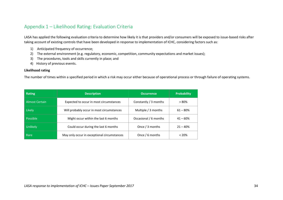# Appendix 1 – Likelihood Rating: Evaluation Criteria

LASA has applied the following evaluation criteria to determine how likely it is that providers and/or consumers will be exposed to issue-based risks after taking account of existing controls that have been developed in response to implementation of ICHC, considering factors such as:

- 1) Anticipated frequency of occurrence;
- 2) The external environment (e.g. regulatory, economic, competition, community expectations and market issues);
- 3) The procedures, tools and skills currently in place; and
- 4) History of previous events.

#### **Likelihood rating**

The number of times within a specified period in which a risk may occur either because of operational process or through failure of operating systems.

| Rating                | <b>Description</b>                          | <b>Occurrence</b>      | <b>Probability</b> |
|-----------------------|---------------------------------------------|------------------------|--------------------|
| <b>Almost Certain</b> | Expected to occur in most circumstances     | Constantly $/3$ months | $> 80\%$           |
| Likely                | Will probably occur in most circumstances   | Multiple / 3 months    | $61 - 80%$         |
| Possible              | Might occur within the last 6 months        | Occasional / 6 months  | $41 - 60%$         |
| Unlikely              | Could occur during the last 6 months        | Once / 3 months        |                    |
| Rare                  | May only occur in exceptional circumstances | Once / 6 months        | $< 20\%$           |